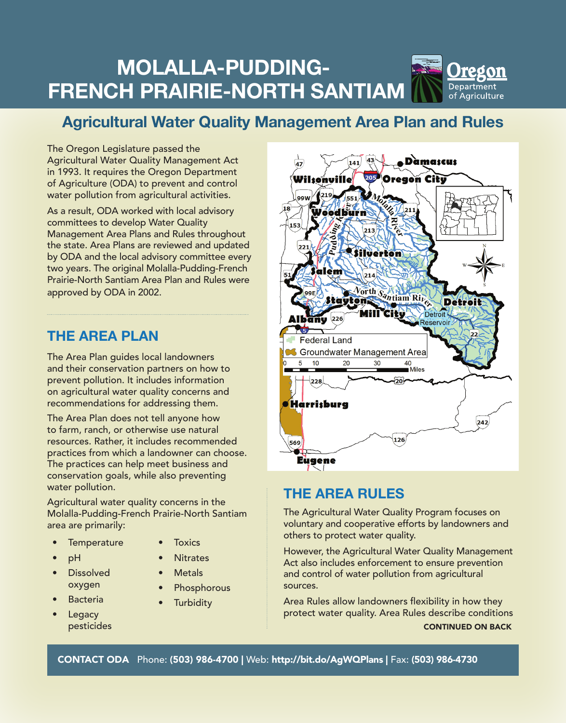# **Molalla-Pudding- French Prairie-North Santiam**



## **Agricultural Water Quality Management Area Plan and Rules**

The Oregon Legislature passed the Agricultural Water Quality Management Act in 1993. It requires the Oregon Department of Agriculture (ODA) to prevent and control water pollution from agricultural activities.

As a result, ODA worked with local advisory committees to develop Water Quality Management Area Plans and Rules throughout the state. Area Plans are reviewed and updated by ODA and the local advisory committee every two years. The original Molalla-Pudding-French Prairie-North Santiam Area Plan and Rules were approved by ODA in 2002.

### The area Plan

The Area Plan guides local landowners and their conservation partners on how to prevent pollution. It includes information on agricultural water quality concerns and recommendations for addressing them.

The Area Plan does not tell anyone how to farm, ranch, or otherwise use natural resources. Rather, it includes recommended practices from which a landowner can choose. The practices can help meet business and conservation goals, while also preventing water pollution.

Agricultural water quality concerns in the Molalla-Pudding-French Prairie-North Santiam area are primarily:

- Temperature
	- **Toxics**
	-
- **Dissolved** oxygen
- **Bacteria**

• pH

- **Legacy** pesticides
- **Metals**
- **Phosphorous**

**Nitrates** 

**Turbidity** 



### The area rules

The Agricultural Water Quality Program focuses on voluntary and cooperative efforts by landowners and others to protect water quality.

However, the Agricultural Water Quality Management Act also includes enforcement to ensure prevention and control of water pollution from agricultural sources.

Area Rules allow landowners flexibility in how they protect water quality. Area Rules describe conditions CONTINUED ON BACK